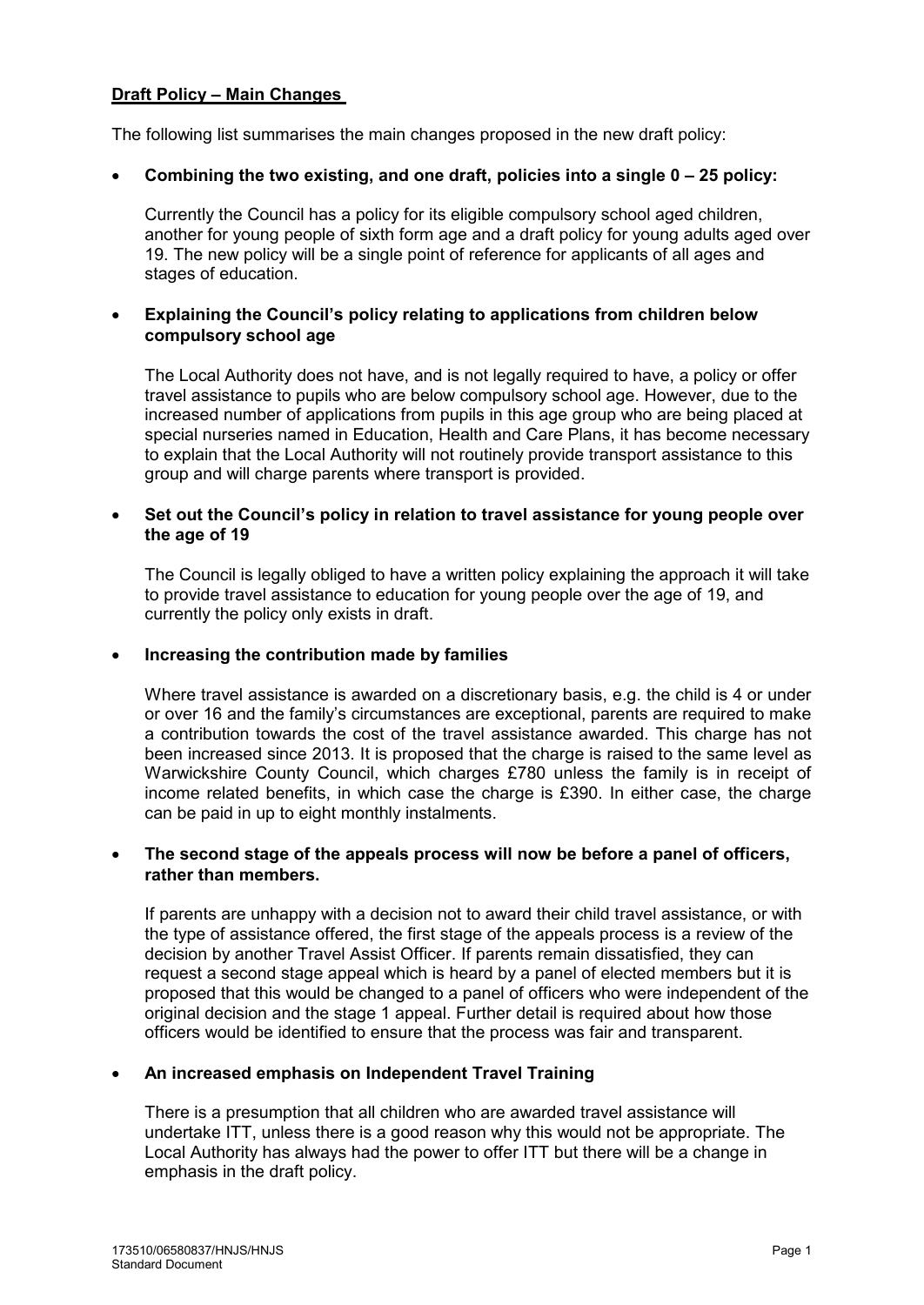# **Draft Policy – Main Changes**

The following list summarises the main changes proposed in the new draft policy:

### • **Combining the two existing, and one draft, policies into a single 0 – 25 policy:**

Currently the Council has a policy for its eligible compulsory school aged children, another for young people of sixth form age and a draft policy for young adults aged over 19. The new policy will be a single point of reference for applicants of all ages and stages of education.

## • **Explaining the Council's policy relating to applications from children below compulsory school age**

The Local Authority does not have, and is not legally required to have, a policy or offer travel assistance to pupils who are below compulsory school age. However, due to the increased number of applications from pupils in this age group who are being placed at special nurseries named in Education, Health and Care Plans, it has become necessary to explain that the Local Authority will not routinely provide transport assistance to this group and will charge parents where transport is provided.

### • **Set out the Council's policy in relation to travel assistance for young people over the age of 19**

The Council is legally obliged to have a written policy explaining the approach it will take to provide travel assistance to education for young people over the age of 19, and currently the policy only exists in draft.

#### • **Increasing the contribution made by families**

Where travel assistance is awarded on a discretionary basis, e.g. the child is 4 or under or over 16 and the family's circumstances are exceptional, parents are required to make a contribution towards the cost of the travel assistance awarded. This charge has not been increased since 2013. It is proposed that the charge is raised to the same level as Warwickshire County Council, which charges £780 unless the family is in receipt of income related benefits, in which case the charge is £390. In either case, the charge can be paid in up to eight monthly instalments.

#### • **The second stage of the appeals process will now be before a panel of officers, rather than members.**

If parents are unhappy with a decision not to award their child travel assistance, or with the type of assistance offered, the first stage of the appeals process is a review of the decision by another Travel Assist Officer. If parents remain dissatisfied, they can request a second stage appeal which is heard by a panel of elected members but it is proposed that this would be changed to a panel of officers who were independent of the original decision and the stage 1 appeal. Further detail is required about how those officers would be identified to ensure that the process was fair and transparent.

### • **An increased emphasis on Independent Travel Training**

There is a presumption that all children who are awarded travel assistance will undertake ITT, unless there is a good reason why this would not be appropriate. The Local Authority has always had the power to offer ITT but there will be a change in emphasis in the draft policy.